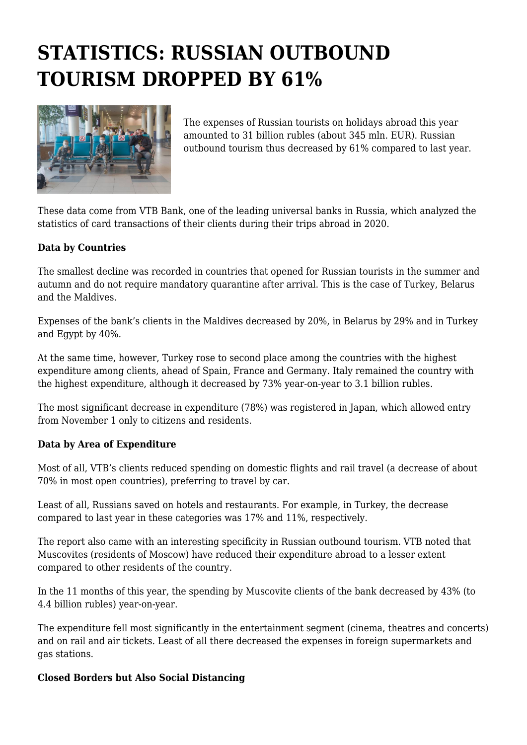## **STATISTICS: RUSSIAN OUTBOUND TOURISM DROPPED BY 61%**



The expenses of Russian tourists on holidays abroad this year amounted to 31 billion rubles (about 345 mln. EUR). Russian outbound tourism thus decreased by 61% compared to last year.

These data come from VTB Bank, one of the leading universal banks in Russia, which analyzed the statistics of card transactions of their clients during their trips abroad in 2020.

## **Data by Countries**

The smallest decline was recorded in countries that opened for Russian tourists in the summer and autumn and do not require mandatory quarantine after arrival. This is the case of Turkey, Belarus and the Maldives.

Expenses of the bank's clients in the Maldives decreased by 20%, in Belarus by 29% and in Turkey and Egypt by 40%.

At the same time, however, Turkey rose to second place among the countries with the highest expenditure among clients, ahead of Spain, France and Germany. Italy remained the country with the highest expenditure, although it decreased by 73% year-on-year to 3.1 billion rubles.

The most significant decrease in expenditure (78%) was registered in Japan, which allowed entry from November 1 only to citizens and residents.

## **Data by Area of Expenditure**

Most of all, VTB's clients reduced spending on domestic flights and rail travel (a decrease of about 70% in most open countries), preferring to travel by car.

Least of all, Russians saved on hotels and restaurants. For example, in Turkey, the decrease compared to last year in these categories was 17% and 11%, respectively.

The report also came with an interesting specificity in Russian outbound tourism. VTB noted that Muscovites (residents of Moscow) have reduced their expenditure abroad to a lesser extent compared to other residents of the country.

In the 11 months of this year, the spending by Muscovite clients of the bank decreased by 43% (to 4.4 billion rubles) year-on-year.

The expenditure fell most significantly in the entertainment segment (cinema, theatres and concerts) and on rail and air tickets. Least of all there decreased the expenses in foreign supermarkets and gas stations.

## **Closed Borders but Also Social Distancing**